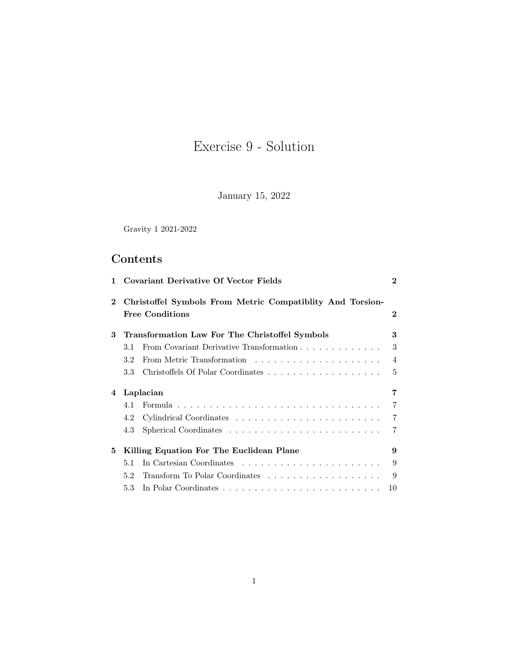# Exercise 9 - Solution

January 15, 2022

Gravity 1 2021-2022

# Contents

| 1           |                                                | <b>Covariant Derivative Of Vector Fields</b>                                        | $\bf{2}$       |
|-------------|------------------------------------------------|-------------------------------------------------------------------------------------|----------------|
| $\mathbf 2$ |                                                | Christoffel Symbols From Metric Compatiblity And Torsion-<br><b>Free Conditions</b> | $\mathbf 2$    |
| 3           | Transformation Law For The Christoffel Symbols |                                                                                     | 3              |
|             | 3.1                                            | From Covariant Derivative Transformation                                            | 3              |
|             | 3.2                                            |                                                                                     | $\overline{4}$ |
|             | 3.3                                            |                                                                                     | 5              |
| 4           | Laplacian                                      |                                                                                     | 7              |
|             | 4.1                                            |                                                                                     | $\overline{7}$ |
|             | 4.2                                            |                                                                                     | $\overline{7}$ |
|             | 4.3                                            |                                                                                     | 7              |
| 5           | Killing Equation For The Euclidean Plane       |                                                                                     | 9              |
|             | 5.1                                            |                                                                                     | 9              |
|             | 5.2                                            |                                                                                     | 9              |
|             | 5.3                                            |                                                                                     | 10             |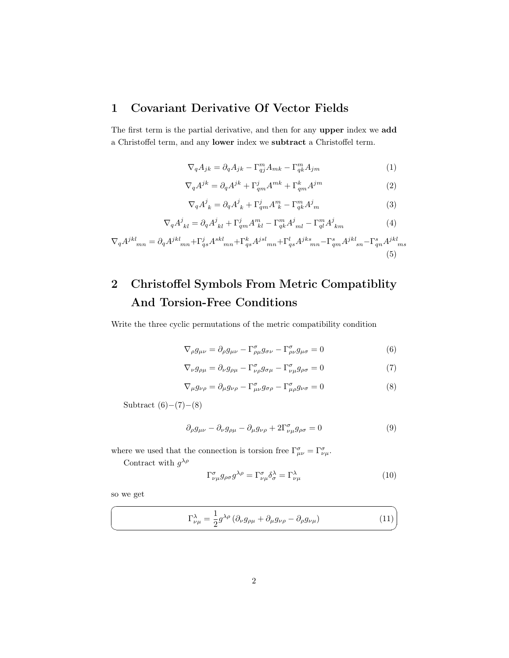## <span id="page-1-0"></span>1 Covariant Derivative Of Vector Fields

The first term is the partial derivative, and then for any upper index we add a Christoffel term, and any lower index we subtract a Christoffel term.

$$
\nabla_q A_{jk} = \partial_q A_{jk} - \Gamma_{qj}^m A_{mk} - \Gamma_{qk}^m A_{jm}
$$
 (1)

$$
\nabla_q A^{jk} = \partial_q A^{jk} + \Gamma^j_{qm} A^{mk} + \Gamma^k_{qm} A^{jm}
$$
 (2)

$$
\nabla_q A^j_{\ k} = \partial_q A^j_{\ k} + \Gamma^j_{qm} A^m_{\ k} - \Gamma^m_{qk} A^j_m \tag{3}
$$

$$
\nabla_q A^j_{kl} = \partial_q A^j_{kl} + \Gamma^j_{qm} A^m_{kl} - \Gamma^m_{qk} A^j_{ml} - \Gamma^m_{ql} A^j_{km}
$$
 (4)

$$
\nabla_q A^{jkl}{}_{mn} = \partial_q A^{jkl}{}_{mn} + \Gamma^j_{qs} A^{skl}{}_{mn} + \Gamma^k_{qs} A^{jsl}{}_{mn} + \Gamma^l_{qs} A^{jks}{}_{mn} - \Gamma^s_{qm} A^{jkl}{}_{sn} - \Gamma^s_{qn} A^{jkl}{}_{ms}
$$
(5)

# <span id="page-1-1"></span>2 Christoffel Symbols From Metric Compatiblity And Torsion-Free Conditions

Write the three cyclic permutations of the metric compatibility condition

<span id="page-1-2"></span>
$$
\nabla_{\rho} g_{\mu\nu} = \partial_{\rho} g_{\mu\nu} - \Gamma^{\sigma}_{\rho\mu} g_{\sigma\nu} - \Gamma^{\sigma}_{\rho\nu} g_{\mu\sigma} = 0 \tag{6}
$$

<span id="page-1-3"></span>
$$
\nabla_{\nu} g_{\rho\mu} = \partial_{\nu} g_{\rho\mu} - \Gamma^{\sigma}_{\nu\rho} g_{\sigma\mu} - \Gamma^{\sigma}_{\nu\mu} g_{\rho\sigma} = 0 \tag{7}
$$

<span id="page-1-4"></span>
$$
\nabla_{\mu} g_{\nu\rho} = \partial_{\mu} g_{\nu\rho} - \Gamma^{\sigma}_{\mu\nu} g_{\sigma\rho} - \Gamma^{\sigma}_{\mu\rho} g_{\nu\sigma} = 0
$$
\n(8)

Subtract  $(6)–(7)–(8)$  $(6)–(7)–(8)$  $(6)–(7)–(8)$  $(6)–(7)–(8)$  $(6)–(7)–(8)$ 

$$
\partial_{\rho}g_{\mu\nu} - \partial_{\nu}g_{\rho\mu} - \partial_{\mu}g_{\nu\rho} + 2\Gamma^{\sigma}_{\nu\mu}g_{\rho\sigma} = 0
$$
\n(9)

where we used that the connection is torsion free  $\Gamma^{\sigma}_{\mu\nu} = \Gamma^{\sigma}_{\nu\mu}$ .

Contract with  $g^{\lambda\rho}$ 

$$
\Gamma^{\sigma}_{\nu\mu}g_{\rho\sigma}g^{\lambda\rho} = \Gamma^{\sigma}_{\nu\mu}\delta^{\lambda}_{\sigma} = \Gamma^{\lambda}_{\nu\mu} \tag{10}
$$

✟

✠

so we get

☛

 $\searrow$ 

$$
\Gamma_{\nu\mu}^{\lambda} = \frac{1}{2} g^{\lambda\rho} \left( \partial_{\nu} g_{\rho\mu} + \partial_{\mu} g_{\nu\rho} - \partial_{\rho} g_{\nu\mu} \right) \tag{11}
$$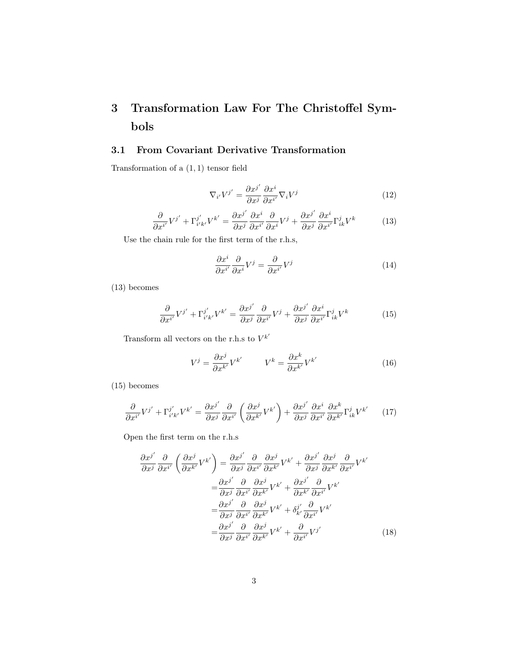# <span id="page-2-0"></span>3 Transformation Law For The Christoffel Symbols

### <span id="page-2-1"></span>3.1 From Covariant Derivative Transformation

Transformation of a (1, 1) tensor field

$$
\nabla_{i'} V^{j'} = \frac{\partial x^{j'}}{\partial x^{j}} \frac{\partial x^{i}}{\partial x^{i'}} \nabla_{i} V^{j}
$$
\n(12)

<span id="page-2-2"></span>
$$
\frac{\partial}{\partial x^{i'}} V^{j'} + \Gamma^{j'}_{i'k'} V^{k'} = \frac{\partial x^{j'}}{\partial x^j} \frac{\partial x^i}{\partial x^{i'}} \frac{\partial}{\partial x^i} V^j + \frac{\partial x^{j'}}{\partial x^j} \frac{\partial x^i}{\partial x^{i'}} \Gamma^j_{ik} V^k \tag{13}
$$

Use the chain rule for the first term of the r.h.s,

$$
\frac{\partial x^i}{\partial x^{i'}} \frac{\partial}{\partial x^i} V^j = \frac{\partial}{\partial x^{i'}} V^j \tag{14}
$$

[\(13\)](#page-2-2) becomes

<span id="page-2-3"></span>
$$
\frac{\partial}{\partial x^{i'}} V^{j'} + \Gamma^{j'}_{i'k'} V^{k'} = \frac{\partial x^{j'}}{\partial x^j} \frac{\partial}{\partial x^{i'}} V^j + \frac{\partial x^{j'}}{\partial x^j} \frac{\partial x^i}{\partial x^{i'}} \Gamma^j_{ik} V^k \tag{15}
$$

Transform all vectors on the r.h.s to  $V^{k'}$ 

$$
V^{j} = \frac{\partial x^{j}}{\partial x^{k'}} V^{k'} \qquad V^{k} = \frac{\partial x^{k}}{\partial x^{k'}} V^{k'} \qquad (16)
$$

[\(15\)](#page-2-3) becomes

<span id="page-2-4"></span>
$$
\frac{\partial}{\partial x^{i'}} V^{j'} + \Gamma^{j'}_{i'k'} V^{k'} = \frac{\partial x^{j'}}{\partial x^j} \frac{\partial}{\partial x^{i'}} \left( \frac{\partial x^j}{\partial x^{k'}} V^{k'} \right) + \frac{\partial x^{j'}}{\partial x^j} \frac{\partial x^i}{\partial x^{i'}} \frac{\partial x^k}{\partial x^{k'}} \Gamma^j_{ik} V^{k'} \tag{17}
$$

Open the first term on the r.h.s

$$
\frac{\partial x^{j'}}{\partial x^{j}} \frac{\partial}{\partial x^{i'}} \left( \frac{\partial x^{j}}{\partial x^{k'}} V^{k'} \right) = \frac{\partial x^{j'}}{\partial x^{j}} \frac{\partial}{\partial x^{i'}} \frac{\partial x^{j}}{\partial x^{k'}} V^{k'} + \frac{\partial x^{j'}}{\partial x^{j}} \frac{\partial x^{j}}{\partial x^{k'}} \frac{\partial}{\partial x^{i'}} V^{k'}
$$

$$
= \frac{\partial x^{j'}}{\partial x^{j}} \frac{\partial}{\partial x^{i'}} \frac{\partial x^{j}}{\partial x^{k'}} V^{k'} + \frac{\partial x^{j'}}{\partial x^{k'}} \frac{\partial}{\partial x^{i'}} V^{k'}
$$

$$
= \frac{\partial x^{j'}}{\partial x^{j}} \frac{\partial}{\partial x^{i'}} \frac{\partial x^{j}}{\partial x^{k'}} V^{k'} + \delta_{k'}^{j'} \frac{\partial}{\partial x^{i'}} V^{k'}
$$

$$
= \frac{\partial x^{j'}}{\partial x^{j}} \frac{\partial}{\partial x^{i'}} \frac{\partial x^{j}}{\partial x^{k'}} V^{k'} + \frac{\partial}{\partial x^{i'}} V^{j'}
$$
(18)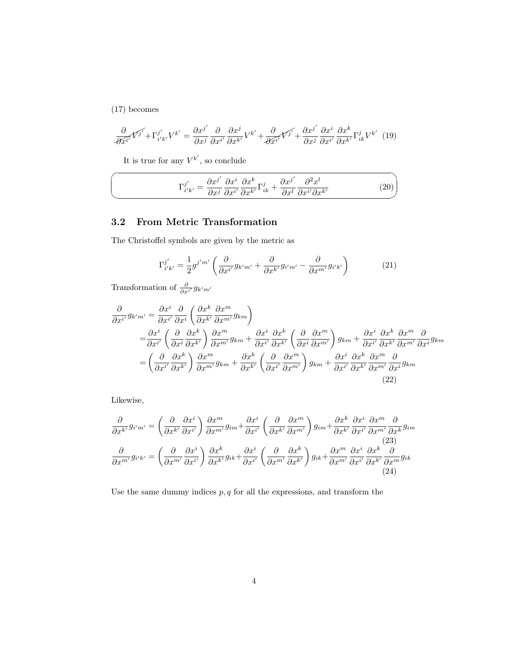[\(17\)](#page-2-4) becomes

 $\sqrt{2}$ 

✍

$$
\frac{\partial}{\partial \tilde{x}^{i'}} \nabla^{j'} + \Gamma^{j'}_{i'k'} V^{k'} = \frac{\partial x^{j'}}{\partial x^{j}} \frac{\partial}{\partial x^{i'}} \frac{\partial x^{j}}{\partial x^{k'}} V^{k'} + \frac{\partial}{\partial \tilde{x}^{i'}} \nabla^{j'} + \frac{\partial x^{j'}}{\partial x^{j}} \frac{\partial x^{i}}{\partial x^{i'}} \frac{\partial x^{k}}{\partial x^{k'}} \Gamma^{j}_{ik} V^{k'} \tag{19}
$$

It is true for any  $V^{k'}$ , so conclude

<span id="page-3-2"></span>
$$
\Gamma_{i'k'}^{j'} = \frac{\partial x^{j'}}{\partial x^j} \frac{\partial x^i}{\partial x^{k'}} \frac{\partial x^k}{\partial x^{k'}} \Gamma_{ik}^j + \frac{\partial x^{j'}}{\partial x^l} \frac{\partial^2 x^l}{\partial x^{i'} \partial x^{k'}} \tag{20}
$$

## <span id="page-3-0"></span>3.2 From Metric Transformation

The Christoffel symbols are given by the metric as

<span id="page-3-1"></span>
$$
\Gamma_{i'k'}^{j'} = \frac{1}{2} g^{j'm'} \left( \frac{\partial}{\partial x^{i'}} g_{k'm'} + \frac{\partial}{\partial x^{k'}} g_{i'm'} - \frac{\partial}{\partial x^{m'}} g_{i'k'} \right)
$$
(21)

Transformation of  $\frac{\partial}{\partial x^{i'}} g_{k'm'}$ 

$$
\frac{\partial}{\partial x^{i'}} g_{k'm'} = \frac{\partial x^i}{\partial x^{i'}} \frac{\partial}{\partial x^i} \left( \frac{\partial x^k}{\partial x^{k'}} \frac{\partial x^m}{\partial x^{m'}} g_{km} \right)
$$
\n
$$
= \frac{\partial x^i}{\partial x^{i'}} \left( \frac{\partial}{\partial x^i} \frac{\partial x^k}{\partial x^{k'}} \right) \frac{\partial x^m}{\partial x^{m'}} g_{km} + \frac{\partial x^i}{\partial x^{i'}} \frac{\partial x^k}{\partial x^{k'}} \left( \frac{\partial}{\partial x^i} \frac{\partial x^m}{\partial x^{m'}} \right) g_{km} + \frac{\partial x^i}{\partial x^{i'}} \frac{\partial x^k}{\partial x^{k'}} \frac{\partial x^m}{\partial x^{m'}} \frac{\partial}{\partial x^m} g_{km}
$$
\n
$$
= \left( \frac{\partial}{\partial x^{i'}} \frac{\partial x^k}{\partial x^{k'}} \right) \frac{\partial x^m}{\partial x^{m'}} g_{km} + \frac{\partial x^k}{\partial x^{k'}} \left( \frac{\partial}{\partial x^{i'}} \frac{\partial x^m}{\partial x^{m'}} \right) g_{km} + \frac{\partial x^i}{\partial x^{i'}} \frac{\partial x^k}{\partial x^{m'}} \frac{\partial x^m}{\partial x^{m'}} \frac{\partial}{\partial x^i} g_{km}
$$
\n(22)

Likewise,

$$
\frac{\partial}{\partial x^{k'}} g_{i'm'} = \left(\frac{\partial}{\partial x^{k'}} \frac{\partial x^i}{\partial x^{i'}}\right) \frac{\partial x^m}{\partial x^{m'}} g_{im} + \frac{\partial x^i}{\partial x^{i'}} \left(\frac{\partial}{\partial x^{k'}} \frac{\partial x^m}{\partial x^{m'}}\right) g_{im} + \frac{\partial x^k}{\partial x^{k'}} \frac{\partial x^i}{\partial x^{i'}} \frac{\partial x^m}{\partial x^{m'}} \frac{\partial}{\partial x^{m'}} g_{im}
$$
\n
$$
\frac{\partial}{\partial x^{m'}} g_{i'k'} = \left(\frac{\partial}{\partial x^{m'}} \frac{\partial x^i}{\partial x^{i'}}\right) \frac{\partial x^k}{\partial x^{k'}} g_{ik} + \frac{\partial x^i}{\partial x^{i'}} \left(\frac{\partial}{\partial x^{m'}} \frac{\partial x^k}{\partial x^{k'}}\right) g_{ik} + \frac{\partial x^m}{\partial x^{m'}} \frac{\partial x^i}{\partial x^{i'}} \frac{\partial x^k}{\partial x^{k'}} \frac{\partial}{\partial x^m} g_{ik}
$$
\n(23)\n(24)

Use the same dummy indices  $p,q$  for all the expressions, and transform the  $\,$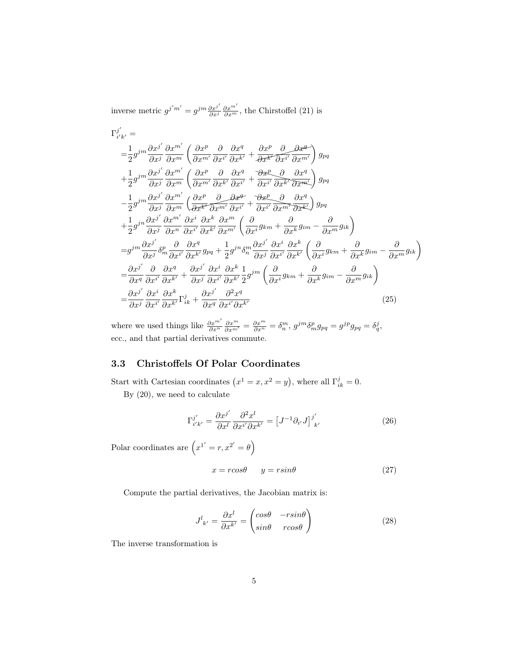inverse metric  $g^{j'm'} = g^{jm} \frac{\partial x^{j'}}{\partial x^{j}}$  $\frac{\partial x^{j'}}{\partial x^{j}} \frac{\partial x^{m'}}{\partial x^{m}}$ , the Chirstoffel [\(21\)](#page-3-1) is

$$
\Gamma_{i'k'}^{j'} =
$$
\n
$$
= \frac{1}{2} g^{jm} \frac{\partial x^{j'}}{\partial x^{j}} \frac{\partial x^{m'}}{\partial x^{m}} \left( \frac{\partial x^{p}}{\partial x^{m'}} \frac{\partial}{\partial x^{i'}} \frac{\partial x^{q}}{\partial x^{k'}} + \frac{\partial x^{p}}{\partial x^{k'}} \frac{\partial}{\partial x^{i'}} \frac{\partial x^{q}}{\partial x^{m'}} \right) g_{pq}
$$
\n
$$
+ \frac{1}{2} g^{jm} \frac{\partial x^{j'}}{\partial x^{j}} \frac{\partial x^{m'}}{\partial x^{m}} \left( \frac{\partial x^{p}}{\partial x^{m'}} \frac{\partial}{\partial x^{k'}} \frac{\partial x^{q}}{\partial x^{i'}} + \frac{\partial x^{p}}{\partial x^{i'}} \frac{\partial}{\partial x^{k'}} \frac{\partial x^{q}}{\partial x^{m'}} \right) g_{pq}
$$
\n
$$
- \frac{1}{2} g^{jm} \frac{\partial x^{j'}}{\partial x^{j}} \frac{\partial x^{m'}}{\partial x^{m'}} \left( \frac{\partial x^{p}}{\partial x^{k'}} \frac{\partial}{\partial x^{m'}} \frac{\partial}{\partial x^{i'}} + \frac{\partial x^{p}}{\partial x^{i'}} \frac{\partial}{\partial x^{m'}} \frac{\partial}{\partial x^{m'}} \frac{\partial x^{q}}{\partial x^{k'}} \right) g_{pq}
$$
\n
$$
+ \frac{1}{2} g^{jn} \frac{\partial x^{j'}}{\partial x^{j}} \frac{\partial x^{m'}}{\partial x^{n'}} \frac{\partial x^{i}}{\partial x^{k'}} \frac{\partial x^{k'}}{\partial x^{m'}} \left( \frac{\partial}{\partial x^{i}} g_{km} + \frac{\partial}{\partial x^{k}} g_{im} - \frac{\partial}{\partial x^{m}} g_{ik} \right)
$$
\n
$$
= g^{jm} \frac{\partial x^{j'}}{\partial x^{j}} \frac{\partial}{\partial x^{i}} \frac{\partial}{\partial x^{k'}} g_{pq} + \frac{1}{2} g^{jn} \delta_{n}^{m} \frac{\partial x^{j'}}{\partial x^{i'}} \frac{\partial x^{i}}{\partial x^{k'}} \frac{\partial x^{k'}}{\partial x^{k'}} \left( \frac{\partial}{\partial x^{i}} g_{km} + \frac{\partial}{\partial x^{k}} g_{im} - \frac{\partial}{\partial x^{m}} g_{ik} \right)
$$
\n
$$
= \frac{\partial x^{j'}}{\partial x^{j}} \frac{\
$$

where we used things like  $\frac{\partial x^{m'}}{\partial x^{n}} \frac{\partial x^{m}}{\partial x^{m'}} = \frac{\partial x^{m}}{\partial x^{n}} = \delta_{n}^{m}$ ,  $g^{jm} \delta_{m}^{p} g_{pq} = g^{jp} g_{pq} = \delta_{q}^{j}$ , ecc., and that partial derivatives commute.

### <span id="page-4-0"></span>3.3 Christoffels Of Polar Coordinates

Start with Cartesian coordinates  $(x^1 = x, x^2 = y)$ , where all  $\Gamma_{ik}^j = 0$ .

By [\(20\)](#page-3-2), we need to calculate

<span id="page-4-2"></span>
$$
\Gamma_{i'k'}^{j'} = \frac{\partial x^{j'}}{\partial x^l} \frac{\partial^2 x^l}{\partial x^{i'} \partial x^{k'}} = \left[J^{-1} \partial_{i'} J\right]_{k'}^{j'}
$$
\n(26)

Polar coordinates are  $(x^{1'} = r, x^{2'} = \theta)$ 

$$
x = r\cos\theta \qquad y = r\sin\theta \tag{27}
$$

Compute the partial derivatives, the Jacobian matrix is:

<span id="page-4-1"></span>
$$
J^{l}_{\ k'} = \frac{\partial x^{l}}{\partial x^{k'}} = \begin{pmatrix} \cos\theta & -r\sin\theta \\ \sin\theta & r\cos\theta \end{pmatrix}
$$
 (28)

The inverse transformation is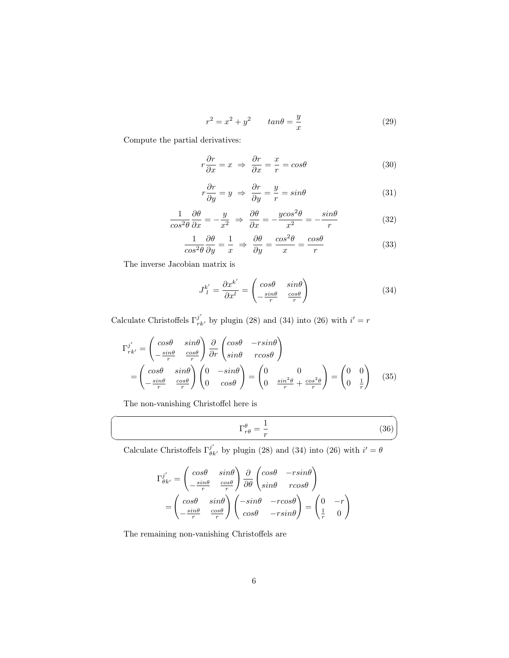$$
r^2 = x^2 + y^2 \qquad \tan\theta = \frac{y}{x} \tag{29}
$$

Compute the partial derivatives:

$$
r\frac{\partial r}{\partial x} = x \implies \frac{\partial r}{\partial x} = \frac{x}{r} = \cos\theta \tag{30}
$$

$$
r\frac{\partial r}{\partial y} = y \implies \frac{\partial r}{\partial y} = \frac{y}{r} = \sin\theta \tag{31}
$$

$$
\frac{1}{\cos^2 \theta} \frac{\partial \theta}{\partial x} = -\frac{y}{x^2} \implies \frac{\partial \theta}{\partial x} = -\frac{ycos^2 \theta}{x^2} = -\frac{\sin \theta}{r}
$$
(32)

$$
\frac{1}{\cos^2 \theta} \frac{\partial \theta}{\partial y} = \frac{1}{x} \implies \frac{\partial \theta}{\partial y} = \frac{\cos^2 \theta}{x} = \frac{\cos \theta}{r}
$$
(33)

The inverse Jacobian matrix is

<span id="page-5-0"></span>
$$
J_l^{k'} = \frac{\partial x^{k'}}{\partial x^l} = \begin{pmatrix} \cos\theta & \sin\theta \\ -\frac{\sin\theta}{r} & \frac{\cos\theta}{r} \end{pmatrix}
$$
 (34)

Calculate Christoffels  $\Gamma_{rk}^{j'}$  by plugin [\(28\)](#page-4-1) and [\(34\)](#page-5-0) into [\(26\)](#page-4-2) with  $i' = r$ 

$$
\Gamma_{rk'}^{j'} = \begin{pmatrix} \cos\theta & \sin\theta \\ -\frac{\sin\theta}{r} & \frac{\cos\theta}{r} \end{pmatrix} \frac{\partial}{\partial r} \begin{pmatrix} \cos\theta & -r\sin\theta \\ \sin\theta & r\cos\theta \end{pmatrix}
$$

$$
= \begin{pmatrix} \cos\theta & \sin\theta \\ -\frac{\sin\theta}{r} & \frac{\cos\theta}{r} \end{pmatrix} \begin{pmatrix} 0 & -\sin\theta \\ 0 & \cos\theta \end{pmatrix} = \begin{pmatrix} 0 & 0 \\ 0 & \frac{\sin^2\theta}{r} + \frac{\cos^2\theta}{r} \end{pmatrix} = \begin{pmatrix} 0 & 0 \\ 0 & \frac{1}{r} \end{pmatrix}
$$
(35)

The non-vanishing Christoffel here is

☛

 $\searrow$ 

<span id="page-5-1"></span>
$$
\Gamma^{\theta}_{r\theta} = \frac{1}{r} \tag{36}
$$

✟

✠

Calculate Christoffels  $\Gamma_{\theta k'}^{j'}$  by plugin [\(28\)](#page-4-1) and [\(34\)](#page-5-0) into [\(26\)](#page-4-2) with  $i' = \theta$ 

$$
\Gamma_{\theta k'}^{j'} = \begin{pmatrix} \cos\theta & \sin\theta \\ -\frac{\sin\theta}{r} & \frac{\cos\theta}{r} \end{pmatrix} \frac{\partial}{\partial \theta} \begin{pmatrix} \cos\theta & -r\sin\theta \\ \sin\theta & r\cos\theta \end{pmatrix}
$$

$$
= \begin{pmatrix} \cos\theta & \sin\theta \\ -\frac{\sin\theta}{r} & \frac{\cos\theta}{r} \end{pmatrix} \begin{pmatrix} -\sin\theta & -r\cos\theta \\ \cos\theta & -r\sin\theta \end{pmatrix} = \begin{pmatrix} 0 & -r \\ \frac{1}{r} & 0 \end{pmatrix}
$$

The remaining non-vanishing Christoffels are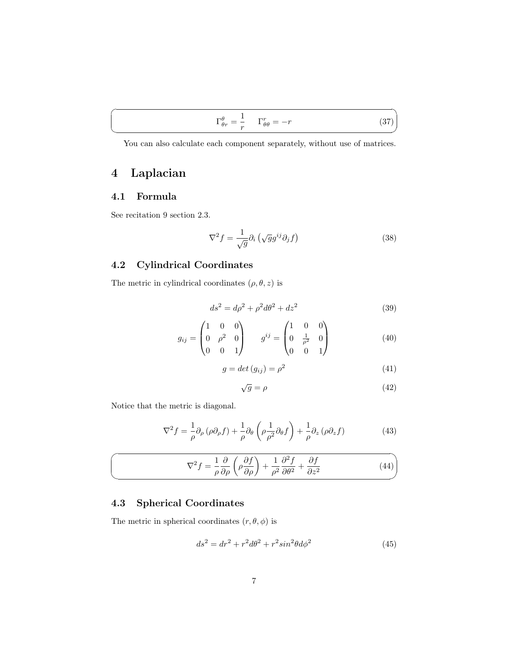<span id="page-6-4"></span>You can also calculate each component separately, without use of matrices.

## <span id="page-6-0"></span>4 Laplacian

### <span id="page-6-1"></span>4.1 Formula

 $\overline{a}$ 

 $\searrow$ 

See recitation 9 section 2.3.

$$
\nabla^2 f = \frac{1}{\sqrt{g}} \partial_i \left( \sqrt{g} g^{ij} \partial_j f \right) \tag{38}
$$

### <span id="page-6-2"></span>4.2 Cylindrical Coordinates

The metric in cylindrical coordinates  $(\rho,\theta,z)$  is

$$
ds^2 = d\rho^2 + \rho^2 d\theta^2 + dz^2
$$
 (39)

$$
g_{ij} = \begin{pmatrix} 1 & 0 & 0 \\ 0 & \rho^2 & 0 \\ 0 & 0 & 1 \end{pmatrix} \qquad g^{ij} = \begin{pmatrix} 1 & 0 & 0 \\ 0 & \frac{1}{\rho^2} & 0 \\ 0 & 0 & 1 \end{pmatrix}
$$
(40)

$$
g = det (g_{ij}) = \rho^2 \tag{41}
$$

$$
\sqrt{g} = \rho \tag{42}
$$

Notice that the metric is diagonal.

$$
\nabla^2 f = \frac{1}{\rho} \partial_\rho (\rho \partial_\rho f) + \frac{1}{\rho} \partial_\theta \left( \rho \frac{1}{\rho^2} \partial_\theta f \right) + \frac{1}{\rho} \partial_z (\rho \partial_z f) \tag{43}
$$

$$
\nabla^2 f = \frac{1}{\rho} \frac{\partial}{\partial \rho} \left( \rho \frac{\partial f}{\partial \rho} \right) + \frac{1}{\rho^2} \frac{\partial^2 f}{\partial \theta^2} + \frac{\partial f}{\partial z^2}
$$
(44)

## <span id="page-6-3"></span>4.3 Spherical Coordinates

The metric in spherical coordinates  $(r, \theta, \phi)$  is

$$
ds^2 = dr^2 + r^2 d\theta^2 + r^2 \sin^2\theta d\phi^2 \tag{45}
$$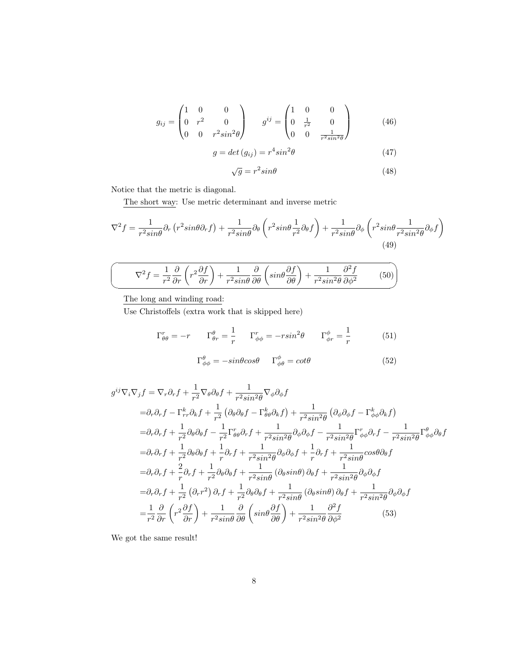$$
g_{ij} = \begin{pmatrix} 1 & 0 & 0 \\ 0 & r^2 & 0 \\ 0 & 0 & r^2 \sin^2 \theta \end{pmatrix} \qquad g^{ij} = \begin{pmatrix} 1 & 0 & 0 \\ 0 & \frac{1}{r^2} & 0 \\ 0 & 0 & \frac{1}{r^2 \sin^2 \theta} \end{pmatrix}
$$
(46)

$$
g = det (g_{ij}) = r^4 sin^2 \theta \tag{47}
$$

$$
\sqrt{g} = r^2 \sin \theta \tag{48}
$$

Notice that the metric is diagonal.

The short way: Use metric determinant and inverse metric

$$
\nabla^2 f = \frac{1}{r^2 \sin \theta} \partial_r \left( r^2 \sin \theta \partial_r f \right) + \frac{1}{r^2 \sin \theta} \partial_\theta \left( r^2 \sin \theta \frac{1}{r^2} \partial_\theta f \right) + \frac{1}{r^2 \sin \theta} \partial_\phi \left( r^2 \sin \theta \frac{1}{r^2 \sin^2 \theta} \partial_\phi f \right) \tag{49}
$$

$$
\left(\nabla^2 f = \frac{1}{r^2} \frac{\partial}{\partial r} \left(r^2 \frac{\partial f}{\partial r}\right) + \frac{1}{r^2 \sin \theta} \frac{\partial}{\partial \theta} \left(\sin \theta \frac{\partial f}{\partial \theta}\right) + \frac{1}{r^2 \sin^2 \theta} \frac{\partial^2 f}{\partial \phi^2} \tag{50}
$$

The long and winding road:

Use Christoffels (extra work that is skipped here)

$$
\Gamma^r_{\theta\theta} = -r \qquad \Gamma^\theta_{\theta r} = \frac{1}{r} \qquad \Gamma^r_{\phi\phi} = -rsin^2\theta \qquad \Gamma^\phi_{\phi r} = \frac{1}{r} \tag{51}
$$

$$
\Gamma^{\theta}_{\phi\phi} = -\sin\theta\cos\theta \qquad \Gamma^{\phi}_{\phi\theta} = \cot\theta \tag{52}
$$

$$
g^{ij}\nabla_{i}\nabla_{j}f = \nabla_{r}\partial_{r}f + \frac{1}{r^{2}}\nabla_{\theta}\partial_{\theta}f + \frac{1}{r^{2}sin^{2}\theta}\nabla_{\phi}\partial_{\phi}f
$$
  
\n
$$
= \partial_{r}\partial_{r}f - \Gamma_{rr}^{k}\partial_{k}f + \frac{1}{r^{2}}\left(\partial_{\theta}\partial_{\theta}f - \Gamma_{\theta\theta}^{k}\partial_{k}f\right) + \frac{1}{r^{2}sin^{2}\theta}\left(\partial_{\phi}\partial_{\phi}f - \Gamma_{\phi\phi}^{k}\partial_{k}f\right)
$$
  
\n
$$
= \partial_{r}\partial_{r}f + \frac{1}{r^{2}}\partial_{\theta}\partial_{\theta}f - \frac{1}{r^{2}}\Gamma_{\theta\theta}^{r}\partial_{r}f + \frac{1}{r^{2}sin^{2}\theta}\partial_{\phi}\partial_{\phi}f - \frac{1}{r^{2}sin^{2}\theta}\Gamma_{\phi\phi}^{r}\partial_{r}f - \frac{1}{r^{2}sin^{2}\theta}\Gamma_{\phi\phi}^{\theta}\partial_{\theta}f
$$
  
\n
$$
= \partial_{r}\partial_{r}f + \frac{1}{r^{2}}\partial_{\theta}\partial_{\theta}f + \frac{1}{r}\partial_{r}f + \frac{1}{r^{2}sin^{2}\theta}\partial_{\phi}\partial_{\phi}f + \frac{1}{r}\partial_{r}f + \frac{1}{r^{2}sin\theta}\cos\theta\partial_{\theta}f
$$
  
\n
$$
= \partial_{r}\partial_{r}f + \frac{2}{r}\partial_{r}f + \frac{1}{r^{2}}\partial_{\theta}\partial_{\theta}f + \frac{1}{r^{2}sin\theta}\left(\partial_{\theta}sin\theta\right)\partial_{\theta}f + \frac{1}{r^{2}sin^{2}\theta}\partial_{\phi}\partial_{\phi}f
$$
  
\n
$$
= \partial_{r}\partial_{r}f + \frac{1}{r^{2}}\left(\partial_{r}r^{2}\right)\partial_{r}f + \frac{1}{r^{2}}\partial_{\theta}\partial_{\theta}f + \frac{1}{r^{2}sin\theta}\left(\partial_{\theta}sin\theta\right)\partial_{\theta}f + \frac{1}{r^{2}sin^{2}\theta}\partial_{\phi}\partial_{\phi}f
$$
  
\n

We got the same result!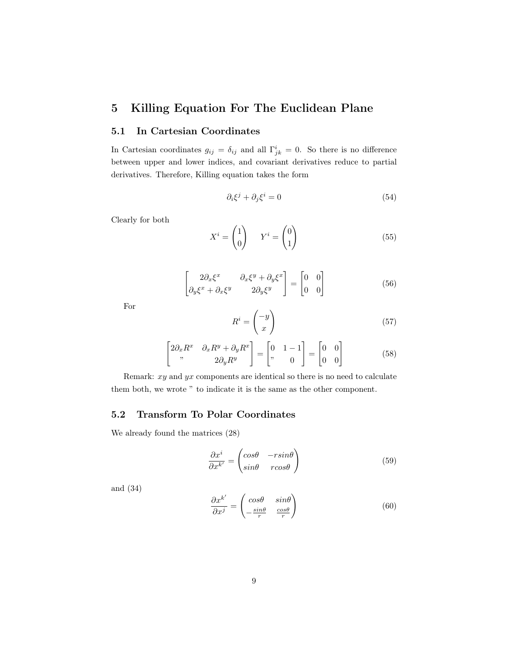## <span id="page-8-0"></span>5 Killing Equation For The Euclidean Plane

### <span id="page-8-1"></span>5.1 In Cartesian Coordinates

In Cartesian coordinates  $g_{ij} = \delta_{ij}$  and all  $\Gamma^i_{jk} = 0$ . So there is no difference between upper and lower indices, and covariant derivatives reduce to partial derivatives. Therefore, Killing equation takes the form

$$
\partial_i \xi^j + \partial_j \xi^i = 0 \tag{54}
$$

Clearly for both

$$
X^{i} = \begin{pmatrix} 1 \\ 0 \end{pmatrix} \qquad Y^{i} = \begin{pmatrix} 0 \\ 1 \end{pmatrix} \tag{55}
$$

$$
\begin{bmatrix} 2\partial_x \xi^x & \partial_x \xi^y + \partial_y \xi^x \\ \partial_y \xi^x + \partial_x \xi^y & 2\partial_y \xi^y \end{bmatrix} = \begin{bmatrix} 0 & 0 \\ 0 & 0 \end{bmatrix}
$$
 (56)

For

$$
R^i = \begin{pmatrix} -y \\ x \end{pmatrix} \tag{57}
$$

$$
\begin{bmatrix} 2\partial_x R^x & \partial_x R^y + \partial_y R^x \\ \end{bmatrix} = \begin{bmatrix} 0 & 1 - 1 \\ \end{bmatrix} = \begin{bmatrix} 0 & 0 \\ 0 & 0 \end{bmatrix}
$$
 (58)

Remark:  $xy$  and  $yx$  components are identical so there is no need to calculate them both, we wrote " to indicate it is the same as the other component.

### <span id="page-8-2"></span>5.2 Transform To Polar Coordinates

We already found the matrices [\(28\)](#page-4-1)

$$
\frac{\partial x^i}{\partial x^{k'}} = \begin{pmatrix} \cos\theta & -r\sin\theta \\ \sin\theta & r\cos\theta \end{pmatrix}
$$
 (59)

and [\(34\)](#page-5-0)

$$
\frac{\partial x^{k'}}{\partial x^j} = \begin{pmatrix} \cos\theta & \sin\theta \\ -\frac{\sin\theta}{r} & \frac{\cos\theta}{r} \end{pmatrix}
$$
 (60)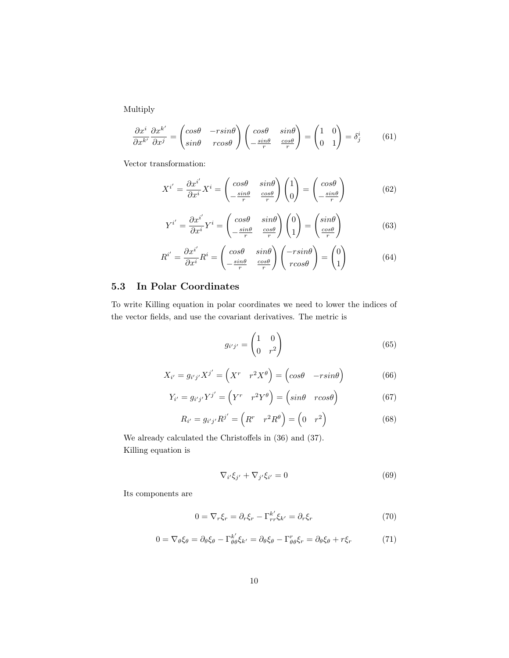Multiply

$$
\frac{\partial x^i}{\partial x^{k'}} \frac{\partial x^{k'}}{\partial x^j} = \begin{pmatrix} \cos\theta & -r\sin\theta \\ \sin\theta & r\cos\theta \end{pmatrix} \begin{pmatrix} \cos\theta & \sin\theta \\ -\frac{\sin\theta}{r} & \frac{\cos\theta}{r} \end{pmatrix} = \begin{pmatrix} 1 & 0 \\ 0 & 1 \end{pmatrix} = \delta^i_j \tag{61}
$$

Vector transformation:

$$
X^{i'} = \frac{\partial x^{i'}}{\partial x^i} X^i = \begin{pmatrix} \cos \theta & \sin \theta \\ -\frac{\sin \theta}{r} & \frac{\cos \theta}{r} \end{pmatrix} \begin{pmatrix} 1 \\ 0 \end{pmatrix} = \begin{pmatrix} \cos \theta \\ -\frac{\sin \theta}{r} \end{pmatrix}
$$
(62)

$$
Y^{i'} = \frac{\partial x^{i'}}{\partial x^i} Y^i = \begin{pmatrix} \cos\theta & \sin\theta \\ -\frac{\sin\theta}{r} & \frac{\cos\theta}{r} \end{pmatrix} \begin{pmatrix} 0 \\ 1 \end{pmatrix} = \begin{pmatrix} \sin\theta \\ \frac{\cos\theta}{r} \end{pmatrix}
$$
(63)

$$
R^{i'} = \frac{\partial x^{i'}}{\partial x^i} R^i = \begin{pmatrix} \cos\theta & \sin\theta \\ -\frac{\sin\theta}{r} & \frac{\cos\theta}{r} \end{pmatrix} \begin{pmatrix} -r\sin\theta \\ r\cos\theta \end{pmatrix} = \begin{pmatrix} 0 \\ 1 \end{pmatrix}
$$
(64)

### <span id="page-9-0"></span>5.3 In Polar Coordinates

To write Killing equation in polar coordinates we need to lower the indices of the vector fields, and use the covariant derivatives. The metric is

$$
g_{i'j'} = \begin{pmatrix} 1 & 0 \\ 0 & r^2 \end{pmatrix} \tag{65}
$$

$$
X_{i'} = g_{i'j'} X^{j'} = \left( X^r \quad r^2 X^{\theta} \right) = \left( \cos \theta \quad -r \sin \theta \right) \tag{66}
$$

$$
Y_{i'} = g_{i'j'} Y^{j'} = \begin{pmatrix} Y^r & r^2 Y^\theta \end{pmatrix} = \begin{pmatrix} \sin\theta & r\cos\theta \end{pmatrix}
$$
 (67)

$$
R_{i'} = g_{i'j'} R^{j'} = \begin{pmatrix} R^r & r^2 R^\theta \end{pmatrix} = \begin{pmatrix} 0 & r^2 \end{pmatrix}
$$
 (68)

We already calculated the Christoffels in [\(36\)](#page-5-1) and [\(37\)](#page-6-4). Killing equation is

$$
\nabla_{i'}\xi_{j'} + \nabla_{j'}\xi_{i'} = 0
$$
\n(69)

Its components are

$$
0 = \nabla_r \xi_r = \partial_r \xi_r - \Gamma_{rr}^{k'} \xi_{k'} = \partial_r \xi_r \tag{70}
$$

$$
0 = \nabla_{\theta} \xi_{\theta} = \partial_{\theta} \xi_{\theta} - \Gamma_{\theta \theta}^{k'} \xi_{k'} = \partial_{\theta} \xi_{\theta} - \Gamma_{\theta \theta}^{r} \xi_{r} = \partial_{\theta} \xi_{\theta} + r \xi_{r}
$$
(71)